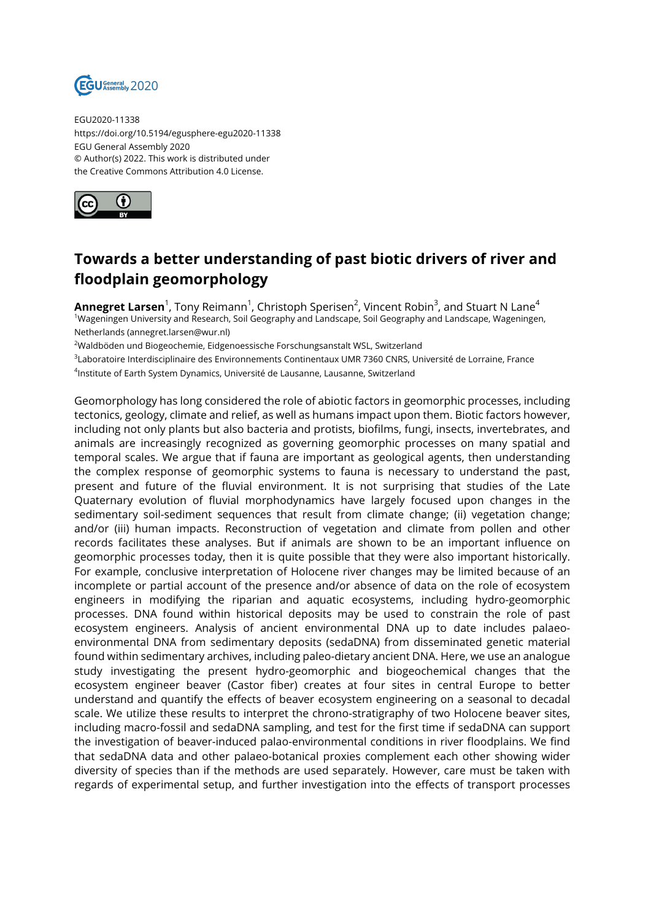

EGU2020-11338 https://doi.org/10.5194/egusphere-egu2020-11338 EGU General Assembly 2020 © Author(s) 2022. This work is distributed under the Creative Commons Attribution 4.0 License.



## **Towards a better understanding of past biotic drivers of river and floodplain geomorphology**

**Annegret Larsen**<sup>1</sup>, Tony Reimann<sup>1</sup>, Christoph Sperisen<sup>2</sup>, Vincent Robin<sup>3</sup>, and Stuart N Lane<sup>4</sup> <sup>1</sup>Wageningen University and Research, Soil Geography and Landscape, Soil Geography and Landscape, Wageningen, Netherlands (annegret.larsen@wur.nl)

<sup>2</sup>Waldböden und Biogeochemie, Eidgenoessische Forschungsanstalt WSL, Switzerland

3 Laboratoire Interdisciplinaire des Environnements Continentaux UMR 7360 CNRS, Université de Lorraine, France

4 Institute of Earth System Dynamics, Université de Lausanne, Lausanne, Switzerland

Geomorphology has long considered the role of abiotic factors in geomorphic processes, including tectonics, geology, climate and relief, as well as humans impact upon them. Biotic factors however, including not only plants but also bacteria and protists, biofilms, fungi, insects, invertebrates, and animals are increasingly recognized as governing geomorphic processes on many spatial and temporal scales. We argue that if fauna are important as geological agents, then understanding the complex response of geomorphic systems to fauna is necessary to understand the past, present and future of the fluvial environment. It is not surprising that studies of the Late Quaternary evolution of fluvial morphodynamics have largely focused upon changes in the sedimentary soil-sediment sequences that result from climate change; (ii) vegetation change; and/or (iii) human impacts. Reconstruction of vegetation and climate from pollen and other records facilitates these analyses. But if animals are shown to be an important influence on geomorphic processes today, then it is quite possible that they were also important historically. For example, conclusive interpretation of Holocene river changes may be limited because of an incomplete or partial account of the presence and/or absence of data on the role of ecosystem engineers in modifying the riparian and aquatic ecosystems, including hydro-geomorphic processes. DNA found within historical deposits may be used to constrain the role of past ecosystem engineers. Analysis of ancient environmental DNA up to date includes palaeoenvironmental DNA from sedimentary deposits (sedaDNA) from disseminated genetic material found within sedimentary archives, including paleo-dietary ancient DNA. Here, we use an analogue study investigating the present hydro-geomorphic and biogeochemical changes that the ecosystem engineer beaver (Castor fiber) creates at four sites in central Europe to better understand and quantify the effects of beaver ecosystem engineering on a seasonal to decadal scale. We utilize these results to interpret the chrono-stratigraphy of two Holocene beaver sites, including macro-fossil and sedaDNA sampling, and test for the first time if sedaDNA can support the investigation of beaver-induced palao-environmental conditions in river floodplains. We find that sedaDNA data and other palaeo-botanical proxies complement each other showing wider diversity of species than if the methods are used separately. However, care must be taken with regards of experimental setup, and further investigation into the effects of transport processes